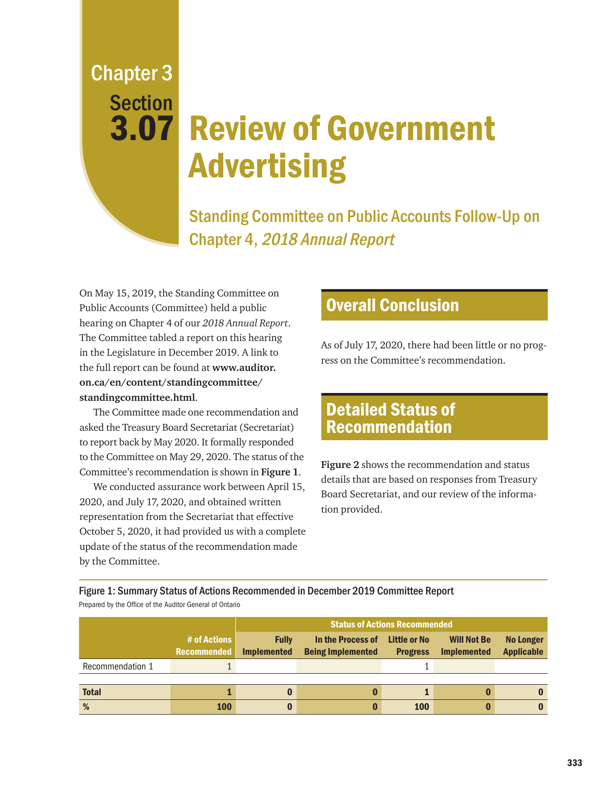Chapter 3 Section

## 3.07 Review of Government Advertising

Standing Committee on Public Accounts Follow-Up on Chapter 4, 2018 Annual Report

On May 15, 2019, the Standing Committee on Public Accounts (Committee) held a public hearing on Chapter 4 of our *2018 Annual Report*. The Committee tabled a report on this hearing in the Legislature in December 2019. A link to the full report can be found at **[www.auditor.](http://www.auditor.on.ca/en/content/standingcommittee/standingcommittee.html) [on.ca/en/content/standingcommittee/](http://www.auditor.on.ca/en/content/standingcommittee/standingcommittee.html) [standingcommittee.html](http://www.auditor.on.ca/en/content/standingcommittee/standingcommittee.html)**.

The Committee made one recommendation and asked the Treasury Board Secretariat (Secretariat) to report back by May 2020. It formally responded to the Committee on May 29, 2020. The status of the Committee's recommendation is shown in **Figure 1**.

We conducted assurance work between April 15, 2020, and July 17, 2020, and obtained written representation from the Secretariat that effective October 5, 2020, it had provided us with a complete update of the status of the recommendation made by the Committee.

## Overall Conclusion

As of July 17, 2020, there had been little or no progress on the Committee's recommendation.

## Detailed Status of Recommendation

**Figure 2** shows the recommendation and status details that are based on responses from Treasury Board Secretariat, and our review of the information provided.

Figure 1: Summary Status of Actions Recommended in December 2019 Committee Report Prepared by the Office of the Auditor General of Ontario

|                  |                                    | <b>Status of Actions Recommended</b> |                                               |                                        |                                          |                                       |
|------------------|------------------------------------|--------------------------------------|-----------------------------------------------|----------------------------------------|------------------------------------------|---------------------------------------|
|                  | # of Actions<br><b>Recommended</b> | <b>Fully</b><br><b>Implemented</b>   | In the Process of<br><b>Being Implemented</b> | <b>Little or No</b><br><b>Progress</b> | <b>Will Not Be</b><br><b>Implemented</b> | <b>No Longer</b><br><b>Applicable</b> |
| Recommendation 1 |                                    |                                      |                                               |                                        |                                          |                                       |
|                  |                                    |                                      |                                               |                                        |                                          |                                       |
| <b>Total</b>     |                                    |                                      |                                               |                                        |                                          |                                       |
| %                | <b>100</b>                         |                                      |                                               | <b>100</b>                             |                                          |                                       |